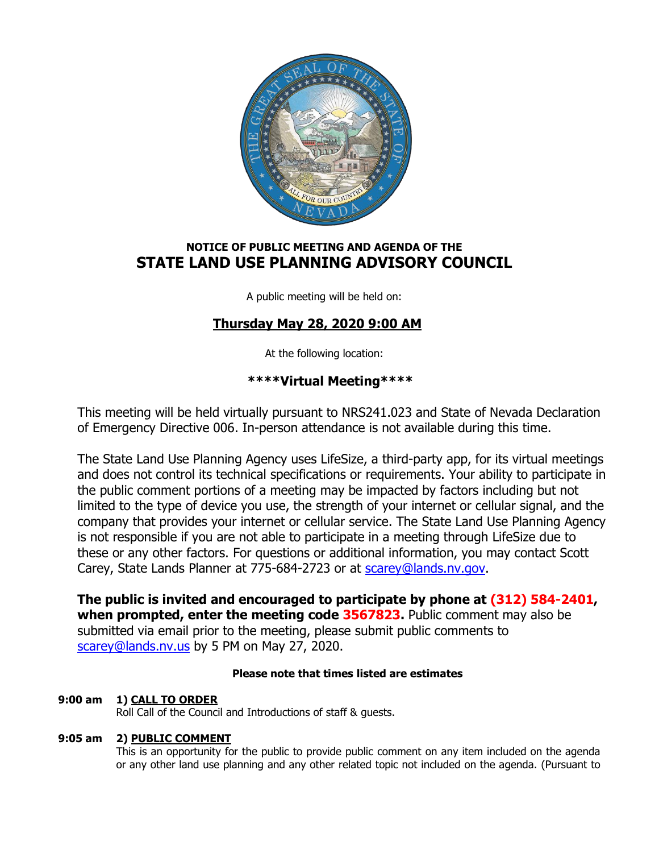

# **NOTICE OF PUBLIC MEETING AND AGENDA OF THE STATE LAND USE PLANNING ADVISORY COUNCIL**

A public meeting will be held on:

# **Thursday May 28, 2020 9:00 AM**

At the following location:

# **\*\*\*\*Virtual Meeting\*\*\*\***

This meeting will be held virtually pursuant to NRS241.023 and State of Nevada Declaration of Emergency Directive 006. In-person attendance is not available during this time.

The State Land Use Planning Agency uses LifeSize, a third-party app, for its virtual meetings and does not control its technical specifications or requirements. Your ability to participate in the public comment portions of a meeting may be impacted by factors including but not limited to the type of device you use, the strength of your internet or cellular signal, and the company that provides your internet or cellular service. The State Land Use Planning Agency is not responsible if you are not able to participate in a meeting through LifeSize due to these or any other factors. For questions or additional information, you may contact Scott Carey, State Lands Planner at 775-684-2723 or at [scarey@lands.nv.gov.](mailto:scarey@lands.nv.gov)

**The public is invited and encouraged to participate by phone at (312) 584-2401, when prompted, enter the meeting code 3567823.** Public comment may also be submitted via email prior to the meeting, please submit public comments to [scarey@lands.nv.us](mailto:scarey@lands.nv.us) by 5 PM on May 27, 2020.

## **Please note that times listed are estimates**

## **9:00 am 1) CALL TO ORDER**

Roll Call of the Council and Introductions of staff & guests.

## **9:05 am 2) PUBLIC COMMENT**

This is an opportunity for the public to provide public comment on any item included on the agenda or any other land use planning and any other related topic not included on the agenda. (Pursuant to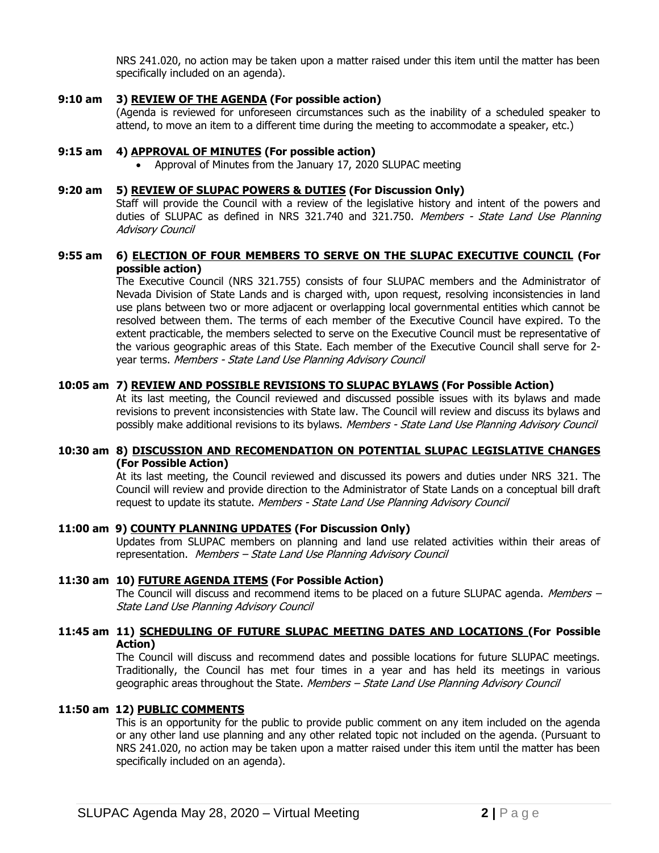NRS 241.020, no action may be taken upon a matter raised under this item until the matter has been specifically included on an agenda).

### **9:10 am 3) REVIEW OF THE AGENDA (For possible action)**

(Agenda is reviewed for unforeseen circumstances such as the inability of a scheduled speaker to attend, to move an item to a different time during the meeting to accommodate a speaker, etc.)

#### **9:15 am 4) APPROVAL OF MINUTES (For possible action)**

• Approval of Minutes from the January 17, 2020 SLUPAC meeting

#### **9:20 am 5) REVIEW OF SLUPAC POWERS & DUTIES (For Discussion Only)**

Staff will provide the Council with a review of the legislative history and intent of the powers and duties of SLUPAC as defined in NRS 321.740 and 321.750. Members - State Land Use Planning Advisory Council

## **9:55 am 6) ELECTION OF FOUR MEMBERS TO SERVE ON THE SLUPAC EXECUTIVE COUNCIL (For possible action)**

The Executive Council (NRS 321.755) consists of four SLUPAC members and the Administrator of Nevada Division of State Lands and is charged with, upon request, resolving inconsistencies in land use plans between two or more adjacent or overlapping local governmental entities which cannot be resolved between them. The terms of each member of the Executive Council have expired. To the extent practicable, the members selected to serve on the Executive Council must be representative of the various geographic areas of this State. Each member of the Executive Council shall serve for 2 year terms. Members - State Land Use Planning Advisory Council

## **10:05 am 7) REVIEW AND POSSIBLE REVISIONS TO SLUPAC BYLAWS (For Possible Action)**

At its last meeting, the Council reviewed and discussed possible issues with its bylaws and made revisions to prevent inconsistencies with State law. The Council will review and discuss its bylaws and possibly make additional revisions to its bylaws. Members - State Land Use Planning Advisory Council

### **10:30 am 8) DISCUSSION AND RECOMENDATION ON POTENTIAL SLUPAC LEGISLATIVE CHANGES (For Possible Action)**

At its last meeting, the Council reviewed and discussed its powers and duties under NRS 321. The Council will review and provide direction to the Administrator of State Lands on a conceptual bill draft request to update its statute. Members - State Land Use Planning Advisory Council

#### **11:00 am 9) COUNTY PLANNING UPDATES (For Discussion Only)**

Updates from SLUPAC members on planning and land use related activities within their areas of representation. Members – State Land Use Planning Advisory Council

### **11:30 am 10) FUTURE AGENDA ITEMS (For Possible Action)**

The Council will discuss and recommend items to be placed on a future SLUPAC agenda. Members  $-$ State Land Use Planning Advisory Council

## **11:45 am 11) SCHEDULING OF FUTURE SLUPAC MEETING DATES AND LOCATIONS (For Possible Action)**

The Council will discuss and recommend dates and possible locations for future SLUPAC meetings. Traditionally, the Council has met four times in a year and has held its meetings in various geographic areas throughout the State. Members - State Land Use Planning Advisory Council

#### **11:50 am 12) PUBLIC COMMENTS**

This is an opportunity for the public to provide public comment on any item included on the agenda or any other land use planning and any other related topic not included on the agenda. (Pursuant to NRS 241.020, no action may be taken upon a matter raised under this item until the matter has been specifically included on an agenda).